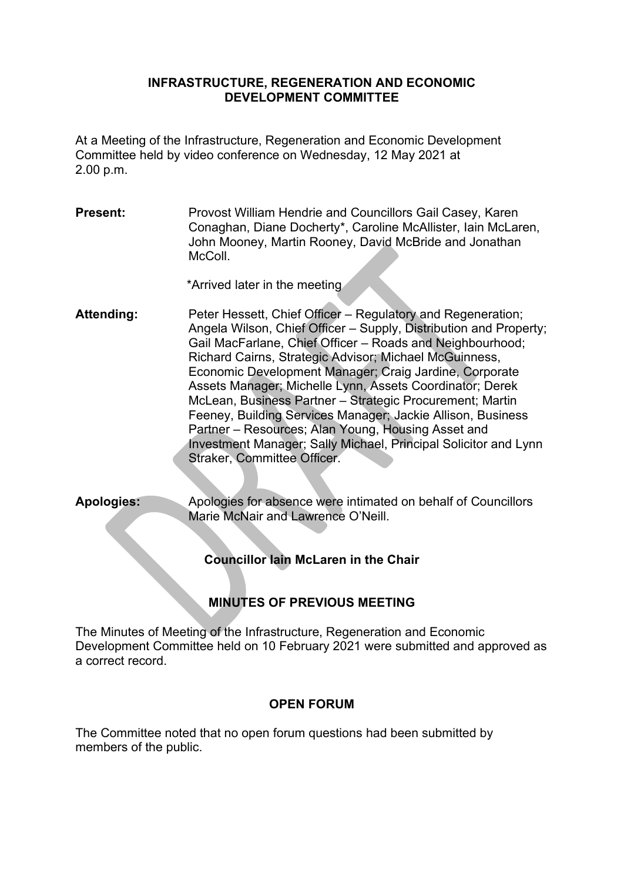#### **INFRASTRUCTURE, REGENERATION AND ECONOMIC DEVELOPMENT COMMITTEE**

At a Meeting of the Infrastructure, Regeneration and Economic Development Committee held by video conference on Wednesday, 12 May 2021 at 2.00 p.m.

**Present:** Provost William Hendrie and Councillors Gail Casey, Karen Conaghan, Diane Docherty\*, Caroline McAllister, Iain McLaren, John Mooney, Martin Rooney, David McBride and Jonathan McColl.

\*Arrived later in the meeting

- **Attending:** Peter Hessett, Chief Officer Regulatory and Regeneration; Angela Wilson, Chief Officer – Supply, Distribution and Property; Gail MacFarlane, Chief Officer – Roads and Neighbourhood; Richard Cairns, Strategic Advisor; Michael McGuinness, Economic Development Manager; Craig Jardine, Corporate Assets Manager; Michelle Lynn, Assets Coordinator; Derek McLean, Business Partner – Strategic Procurement; Martin Feeney, Building Services Manager; Jackie Allison, Business Partner – Resources; Alan Young, Housing Asset and Investment Manager; Sally Michael, Principal Solicitor and Lynn Straker, Committee Officer.
- **Apologies:** Apologies for absence were intimated on behalf of Councillors Marie McNair and Lawrence O'Neill.

**Councillor Iain McLaren in the Chair** 

# **MINUTES OF PREVIOUS MEETING**

The Minutes of Meeting of the Infrastructure, Regeneration and Economic Development Committee held on 10 February 2021 were submitted and approved as a correct record.

## **OPEN FORUM**

The Committee noted that no open forum questions had been submitted by members of the public.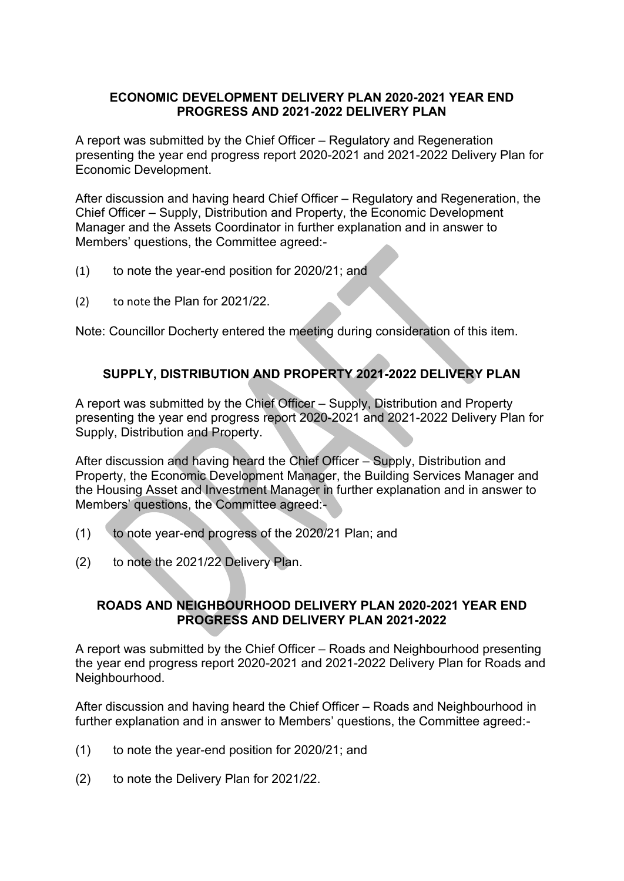#### **ECONOMIC DEVELOPMENT DELIVERY PLAN 2020-2021 YEAR END PROGRESS AND 2021-2022 DELIVERY PLAN**

A report was submitted by the Chief Officer – Regulatory and Regeneration presenting the year end progress report 2020-2021 and 2021-2022 Delivery Plan for Economic Development.

After discussion and having heard Chief Officer – Regulatory and Regeneration, the Chief Officer – Supply, Distribution and Property, the Economic Development Manager and the Assets Coordinator in further explanation and in answer to Members' questions, the Committee agreed:-

- (1) to note the year-end position for 2020/21; and
- (2) to note the Plan for 2021/22.

Note: Councillor Docherty entered the meeting during consideration of this item.

## **SUPPLY, DISTRIBUTION AND PROPERTY 2021-2022 DELIVERY PLAN**

A report was submitted by the Chief Officer – Supply, Distribution and Property presenting the year end progress report 2020-2021 and 2021-2022 Delivery Plan for Supply, Distribution and Property.

After discussion and having heard the Chief Officer – Supply, Distribution and Property, the Economic Development Manager, the Building Services Manager and the Housing Asset and Investment Manager in further explanation and in answer to Members' questions, the Committee agreed:-

- (1) to note year-end progress of the 2020/21 Plan; and
- (2) to note the 2021/22 Delivery Plan.

## **ROADS AND NEIGHBOURHOOD DELIVERY PLAN 2020-2021 YEAR END PROGRESS AND DELIVERY PLAN 2021-2022**

A report was submitted by the Chief Officer – Roads and Neighbourhood presenting the year end progress report 2020-2021 and 2021-2022 Delivery Plan for Roads and Neighbourhood.

After discussion and having heard the Chief Officer – Roads and Neighbourhood in further explanation and in answer to Members' questions, the Committee agreed:-

- (1) to note the year-end position for 2020/21; and
- (2) to note the Delivery Plan for 2021/22.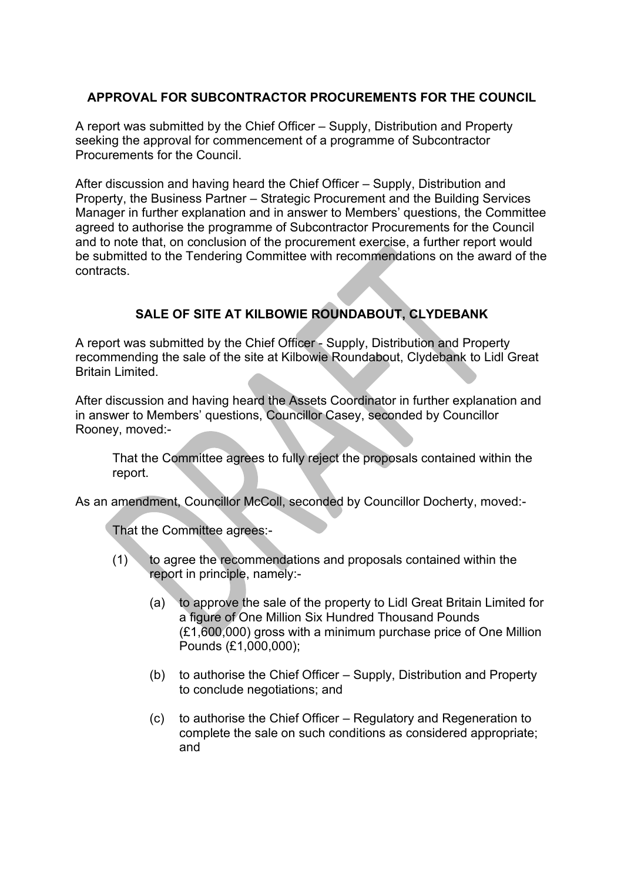## **APPROVAL FOR SUBCONTRACTOR PROCUREMENTS FOR THE COUNCIL**

A report was submitted by the Chief Officer – Supply, Distribution and Property seeking the approval for commencement of a programme of Subcontractor Procurements for the Council.

After discussion and having heard the Chief Officer – Supply, Distribution and Property, the Business Partner – Strategic Procurement and the Building Services Manager in further explanation and in answer to Members' questions, the Committee agreed to authorise the programme of Subcontractor Procurements for the Council and to note that, on conclusion of the procurement exercise, a further report would be submitted to the Tendering Committee with recommendations on the award of the contracts.

# **SALE OF SITE AT KILBOWIE ROUNDABOUT, CLYDEBANK**

A report was submitted by the Chief Officer - Supply, Distribution and Property recommending the sale of the site at Kilbowie Roundabout, Clydebank to Lidl Great Britain Limited.

After discussion and having heard the Assets Coordinator in further explanation and in answer to Members' questions, Councillor Casey, seconded by Councillor Rooney, moved:-

 That the Committee agrees to fully reject the proposals contained within the report.

As an amendment, Councillor McColl, seconded by Councillor Docherty, moved:-

That the Committee agrees:-

- (1) to agree the recommendations and proposals contained within the report in principle, namely:-
	- (a) to approve the sale of the property to Lidl Great Britain Limited for a figure of One Million Six Hundred Thousand Pounds (£1,600,000) gross with a minimum purchase price of One Million Pounds (£1,000,000);
	- (b) to authorise the Chief Officer Supply, Distribution and Property to conclude negotiations; and
	- (c) to authorise the Chief Officer Regulatory and Regeneration to complete the sale on such conditions as considered appropriate; and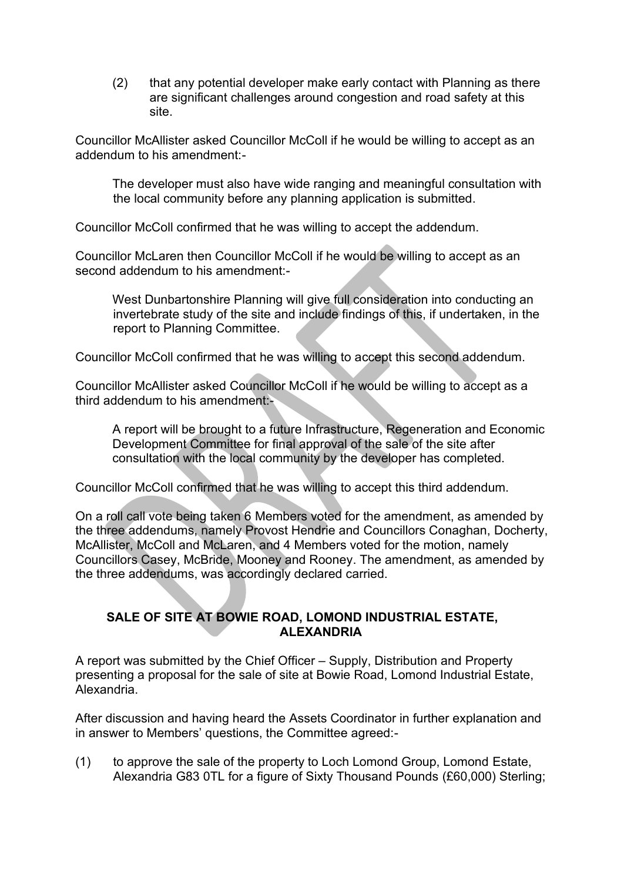(2) that any potential developer make early contact with Planning as there are significant challenges around congestion and road safety at this site.

Councillor McAllister asked Councillor McColl if he would be willing to accept as an addendum to his amendment:-

The developer must also have wide ranging and meaningful consultation with the local community before any planning application is submitted.

Councillor McColl confirmed that he was willing to accept the addendum.

Councillor McLaren then Councillor McColl if he would be willing to accept as an second addendum to his amendment:-

West Dunbartonshire Planning will give full consideration into conducting an invertebrate study of the site and include findings of this, if undertaken, in the report to Planning Committee.

Councillor McColl confirmed that he was willing to accept this second addendum.

Councillor McAllister asked Councillor McColl if he would be willing to accept as a third addendum to his amendment:-

A report will be brought to a future Infrastructure, Regeneration and Economic Development Committee for final approval of the sale of the site after consultation with the local community by the developer has completed.

Councillor McColl confirmed that he was willing to accept this third addendum.

On a roll call vote being taken 6 Members voted for the amendment, as amended by the three addendums, namely Provost Hendrie and Councillors Conaghan, Docherty, McAllister, McColl and McLaren, and 4 Members voted for the motion, namely Councillors Casey, McBride, Mooney and Rooney. The amendment, as amended by the three addendums, was accordingly declared carried.

#### **SALE OF SITE AT BOWIE ROAD, LOMOND INDUSTRIAL ESTATE, ALEXANDRIA**

A report was submitted by the Chief Officer – Supply, Distribution and Property presenting a proposal for the sale of site at Bowie Road, Lomond Industrial Estate, Alexandria.

After discussion and having heard the Assets Coordinator in further explanation and in answer to Members' questions, the Committee agreed:-

(1) to approve the sale of the property to Loch Lomond Group, Lomond Estate, Alexandria G83 0TL for a figure of Sixty Thousand Pounds (£60,000) Sterling;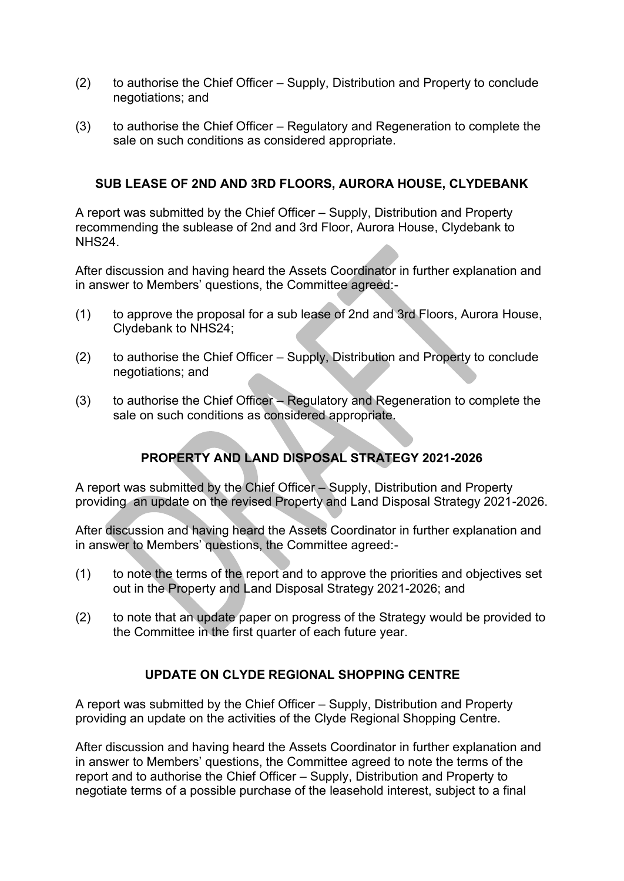- (2) to authorise the Chief Officer Supply, Distribution and Property to conclude negotiations; and
- (3) to authorise the Chief Officer Regulatory and Regeneration to complete the sale on such conditions as considered appropriate.

## **SUB LEASE OF 2ND AND 3RD FLOORS, AURORA HOUSE, CLYDEBANK**

A report was submitted by the Chief Officer – Supply, Distribution and Property recommending the sublease of 2nd and 3rd Floor, Aurora House, Clydebank to NHS24.

After discussion and having heard the Assets Coordinator in further explanation and in answer to Members' questions, the Committee agreed:-

- (1) to approve the proposal for a sub lease of 2nd and 3rd Floors, Aurora House, Clydebank to NHS24;
- (2) to authorise the Chief Officer Supply, Distribution and Property to conclude negotiations; and
- (3) to authorise the Chief Officer Regulatory and Regeneration to complete the sale on such conditions as considered appropriate.

# **PROPERTY AND LAND DISPOSAL STRATEGY 2021-2026**

A report was submitted by the Chief Officer – Supply, Distribution and Property providing an update on the revised Property and Land Disposal Strategy 2021-2026.

After discussion and having heard the Assets Coordinator in further explanation and in answer to Members' questions, the Committee agreed:-

- (1) to note the terms of the report and to approve the priorities and objectives set out in the Property and Land Disposal Strategy 2021-2026; and
- (2) to note that an update paper on progress of the Strategy would be provided to the Committee in the first quarter of each future year.

## **UPDATE ON CLYDE REGIONAL SHOPPING CENTRE**

A report was submitted by the Chief Officer – Supply, Distribution and Property providing an update on the activities of the Clyde Regional Shopping Centre.

After discussion and having heard the Assets Coordinator in further explanation and in answer to Members' questions, the Committee agreed to note the terms of the report and to authorise the Chief Officer – Supply, Distribution and Property to negotiate terms of a possible purchase of the leasehold interest, subject to a final